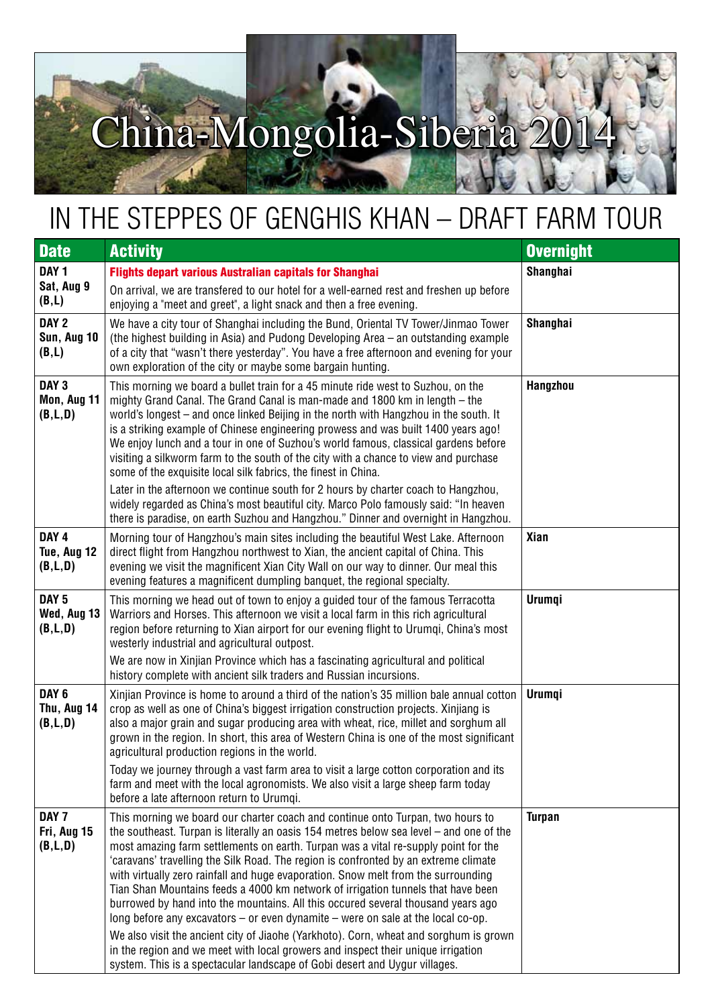## China-Mongolia-Siberia

## in the steppes of Genghis KHAN – DRAFT FARM TOUR

| <b>Date</b>                                  | <b>Activity</b>                                                                                                                                                                                                                                                                                                                                                                                                                                                                                                                                                                                                                                                                                                                                                                                                                                                                                                                                                          | <b>Overnight</b> |
|----------------------------------------------|--------------------------------------------------------------------------------------------------------------------------------------------------------------------------------------------------------------------------------------------------------------------------------------------------------------------------------------------------------------------------------------------------------------------------------------------------------------------------------------------------------------------------------------------------------------------------------------------------------------------------------------------------------------------------------------------------------------------------------------------------------------------------------------------------------------------------------------------------------------------------------------------------------------------------------------------------------------------------|------------------|
| DAY <sub>1</sub><br>Sat, Aug 9<br>(B,L)      | <b>Flights depart various Australian capitals for Shanghai</b><br>On arrival, we are transfered to our hotel for a well-earned rest and freshen up before<br>enjoying a "meet and greet", a light snack and then a free evening.                                                                                                                                                                                                                                                                                                                                                                                                                                                                                                                                                                                                                                                                                                                                         | <b>Shanghai</b>  |
| DAY <sub>2</sub><br>Sun, Aug 10<br>(B,L)     | We have a city tour of Shanghai including the Bund, Oriental TV Tower/Jinmao Tower<br>(the highest building in Asia) and Pudong Developing Area – an outstanding example<br>of a city that "wasn't there yesterday". You have a free afternoon and evening for your<br>own exploration of the city or maybe some bargain hunting.                                                                                                                                                                                                                                                                                                                                                                                                                                                                                                                                                                                                                                        | Shanghai         |
| DAY <sub>3</sub><br>Mon, Aug 11<br>(B,L,D)   | This morning we board a bullet train for a 45 minute ride west to Suzhou, on the<br>mighty Grand Canal. The Grand Canal is man-made and 1800 km in length – the<br>world's longest – and once linked Beijing in the north with Hangzhou in the south. It<br>is a striking example of Chinese engineering prowess and was built 1400 years ago!<br>We enjoy lunch and a tour in one of Suzhou's world famous, classical gardens before<br>visiting a silkworm farm to the south of the city with a chance to view and purchase<br>some of the exquisite local silk fabrics, the finest in China.<br>Later in the afternoon we continue south for 2 hours by charter coach to Hangzhou,                                                                                                                                                                                                                                                                                    | Hangzhou         |
|                                              | widely regarded as China's most beautiful city. Marco Polo famously said: "In heaven<br>there is paradise, on earth Suzhou and Hangzhou." Dinner and overnight in Hangzhou.                                                                                                                                                                                                                                                                                                                                                                                                                                                                                                                                                                                                                                                                                                                                                                                              |                  |
| DAY <sub>4</sub><br>Tue, Aug 12<br>(B, L, D) | Morning tour of Hangzhou's main sites including the beautiful West Lake. Afternoon<br>direct flight from Hangzhou northwest to Xian, the ancient capital of China. This<br>evening we visit the magnificent Xian City Wall on our way to dinner. Our meal this<br>evening features a magnificent dumpling banquet, the regional specialty.                                                                                                                                                                                                                                                                                                                                                                                                                                                                                                                                                                                                                               | <b>Xian</b>      |
| DAY <sub>5</sub><br>Wed, Aug 13<br>(B,L,D)   | This morning we head out of town to enjoy a guided tour of the famous Terracotta<br>Warriors and Horses. This afternoon we visit a local farm in this rich agricultural<br>region before returning to Xian airport for our evening flight to Urumqi, China's most<br>westerly industrial and agricultural outpost.<br>We are now in Xinjian Province which has a fascinating agricultural and political                                                                                                                                                                                                                                                                                                                                                                                                                                                                                                                                                                  | <b>Urumqi</b>    |
|                                              | history complete with ancient silk traders and Russian incursions.                                                                                                                                                                                                                                                                                                                                                                                                                                                                                                                                                                                                                                                                                                                                                                                                                                                                                                       |                  |
| DAY <sub>6</sub><br>Thu, Aug 14<br>(B, L, D) | Xinjian Province is home to around a third of the nation's 35 million bale annual cotton<br>crop as well as one of China's biggest irrigation construction projects. Xinjiang is<br>also a major grain and sugar producing area with wheat, rice, millet and sorghum all<br>grown in the region. In short, this area of Western China is one of the most significant<br>agricultural production regions in the world.<br>Today we journey through a vast farm area to visit a large cotton corporation and its                                                                                                                                                                                                                                                                                                                                                                                                                                                           | Urumqi           |
|                                              | farm and meet with the local agronomists. We also visit a large sheep farm today<br>before a late afternoon return to Urumgi.                                                                                                                                                                                                                                                                                                                                                                                                                                                                                                                                                                                                                                                                                                                                                                                                                                            |                  |
| DAY <sub>7</sub><br>Fri, Aug 15<br>(B,L,D)   | This morning we board our charter coach and continue onto Turpan, two hours to<br>the southeast. Turpan is literally an oasis 154 metres below sea level $-$ and one of the<br>most amazing farm settlements on earth. Turpan was a vital re-supply point for the<br>'caravans' travelling the Silk Road. The region is confronted by an extreme climate<br>with virtually zero rainfall and huge evaporation. Snow melt from the surrounding<br>Tian Shan Mountains feeds a 4000 km network of irrigation tunnels that have been<br>burrowed by hand into the mountains. All this occured several thousand years ago<br>long before any excavators $-$ or even dynamite $-$ were on sale at the local co-op.<br>We also visit the ancient city of Jiaohe (Yarkhoto). Corn, wheat and sorghum is grown<br>in the region and we meet with local growers and inspect their unique irrigation<br>system. This is a spectacular landscape of Gobi desert and Uygur villages. | <b>Turpan</b>    |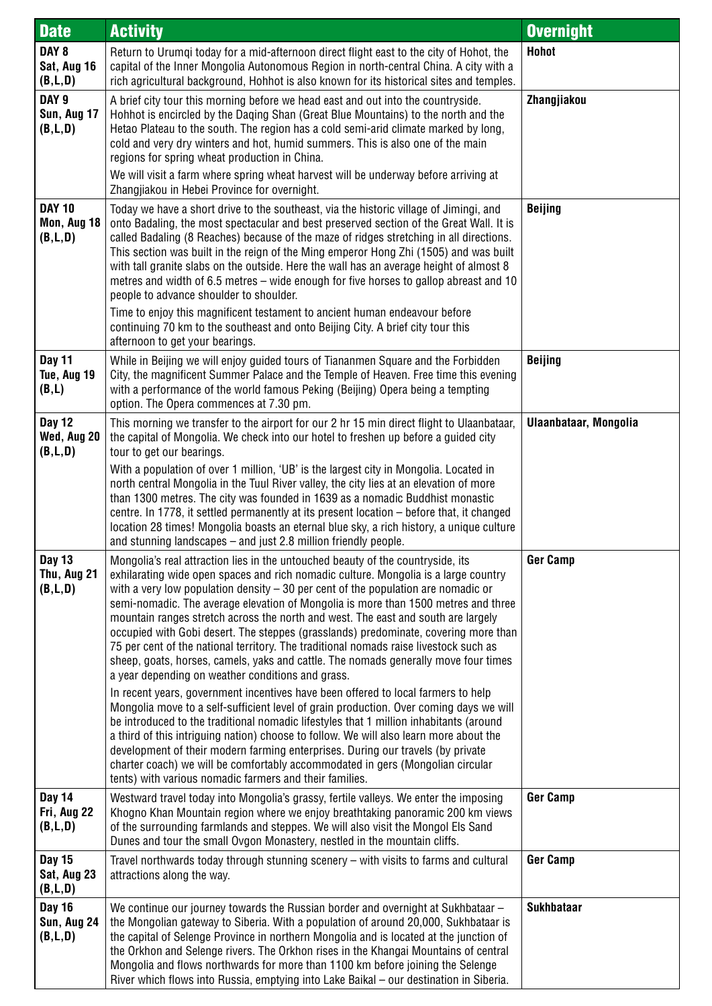| <b>Date</b>                                  | <b>Activity</b>                                                                                                                                                                                                                                                                                                                                                                                                                                                                                                                                                                                                                                                                                                                                                     | <b>Overnight</b>      |
|----------------------------------------------|---------------------------------------------------------------------------------------------------------------------------------------------------------------------------------------------------------------------------------------------------------------------------------------------------------------------------------------------------------------------------------------------------------------------------------------------------------------------------------------------------------------------------------------------------------------------------------------------------------------------------------------------------------------------------------------------------------------------------------------------------------------------|-----------------------|
| DAY <sub>8</sub><br>Sat, Aug 16<br>(B,L,D)   | Return to Urumqi today for a mid-afternoon direct flight east to the city of Hohot, the<br>capital of the Inner Mongolia Autonomous Region in north-central China. A city with a<br>rich agricultural background, Hohhot is also known for its historical sites and temples.                                                                                                                                                                                                                                                                                                                                                                                                                                                                                        | <b>Hohot</b>          |
| DAY <sub>9</sub><br>Sun, Aug 17<br>(B, L, D) | A brief city tour this morning before we head east and out into the countryside.<br>Hohhot is encircled by the Daging Shan (Great Blue Mountains) to the north and the<br>Hetao Plateau to the south. The region has a cold semi-arid climate marked by long,<br>cold and very dry winters and hot, humid summers. This is also one of the main<br>regions for spring wheat production in China.                                                                                                                                                                                                                                                                                                                                                                    | Zhangjiakou           |
|                                              | We will visit a farm where spring wheat harvest will be underway before arriving at<br>Zhangjiakou in Hebei Province for overnight.                                                                                                                                                                                                                                                                                                                                                                                                                                                                                                                                                                                                                                 |                       |
| <b>DAY 10</b><br>Mon, Aug 18<br>(B, L, D)    | Today we have a short drive to the southeast, via the historic village of Jimingi, and<br>onto Badaling, the most spectacular and best preserved section of the Great Wall. It is<br>called Badaling (8 Reaches) because of the maze of ridges stretching in all directions.<br>This section was built in the reign of the Ming emperor Hong Zhi (1505) and was built<br>with tall granite slabs on the outside. Here the wall has an average height of almost 8<br>metres and width of 6.5 metres – wide enough for five horses to gallop abreast and 10<br>people to advance shoulder to shoulder.                                                                                                                                                                | <b>Beijing</b>        |
|                                              | Time to enjoy this magnificent testament to ancient human endeavour before<br>continuing 70 km to the southeast and onto Beijing City. A brief city tour this<br>afternoon to get your bearings.                                                                                                                                                                                                                                                                                                                                                                                                                                                                                                                                                                    |                       |
| <b>Day 11</b><br>Tue, Aug 19<br>(B,L)        | While in Beijing we will enjoy guided tours of Tiananmen Square and the Forbidden<br>City, the magnificent Summer Palace and the Temple of Heaven. Free time this evening<br>with a performance of the world famous Peking (Beijing) Opera being a tempting<br>option. The Opera commences at 7.30 pm.                                                                                                                                                                                                                                                                                                                                                                                                                                                              | <b>Beijing</b>        |
| <b>Day 12</b><br>Wed, Aug 20<br>(B, L, D)    | This morning we transfer to the airport for our 2 hr 15 min direct flight to Ulaanbataar,<br>the capital of Mongolia. We check into our hotel to freshen up before a guided city<br>tour to get our bearings.                                                                                                                                                                                                                                                                                                                                                                                                                                                                                                                                                       | Ulaanbataar, Mongolia |
|                                              | With a population of over 1 million, 'UB' is the largest city in Mongolia. Located in<br>north central Mongolia in the Tuul River valley, the city lies at an elevation of more<br>than 1300 metres. The city was founded in 1639 as a nomadic Buddhist monastic<br>centre. In 1778, it settled permanently at its present location – before that, it changed<br>location 28 times! Mongolia boasts an eternal blue sky, a rich history, a unique culture<br>and stunning landscapes $-$ and just 2.8 million friendly people.                                                                                                                                                                                                                                      |                       |
| <b>Day 13</b><br>Thu, Aug 21<br>(B, L, D)    | Mongolia's real attraction lies in the untouched beauty of the countryside, its<br>exhilarating wide open spaces and rich nomadic culture. Mongolia is a large country<br>with a very low population density $-30$ per cent of the population are nomadic or<br>semi-nomadic. The average elevation of Mongolia is more than 1500 metres and three<br>mountain ranges stretch across the north and west. The east and south are largely<br>occupied with Gobi desert. The steppes (grasslands) predominate, covering more than<br>75 per cent of the national territory. The traditional nomads raise livestock such as<br>sheep, goats, horses, camels, yaks and cattle. The nomads generally move four times<br>a year depending on weather conditions and grass. | <b>Ger Camp</b>       |
|                                              | In recent years, government incentives have been offered to local farmers to help<br>Mongolia move to a self-sufficient level of grain production. Over coming days we will<br>be introduced to the traditional nomadic lifestyles that 1 million inhabitants (around<br>a third of this intriguing nation) choose to follow. We will also learn more about the<br>development of their modern farming enterprises. During our travels (by private<br>charter coach) we will be comfortably accommodated in gers (Mongolian circular<br>tents) with various nomadic farmers and their families.                                                                                                                                                                     |                       |
| <b>Day 14</b><br>Fri, Aug 22<br>(B,L,D)      | Westward travel today into Mongolia's grassy, fertile valleys. We enter the imposing<br>Khogno Khan Mountain region where we enjoy breathtaking panoramic 200 km views<br>of the surrounding farmlands and steppes. We will also visit the Mongol Els Sand<br>Dunes and tour the small Ovgon Monastery, nestled in the mountain cliffs.                                                                                                                                                                                                                                                                                                                                                                                                                             | <b>Ger Camp</b>       |
| <b>Day 15</b><br>Sat, Aug 23<br>(B,L,D)      | Travel northwards today through stunning scenery – with visits to farms and cultural<br>attractions along the way.                                                                                                                                                                                                                                                                                                                                                                                                                                                                                                                                                                                                                                                  | <b>Ger Camp</b>       |
| <b>Day 16</b><br>Sun, Aug 24<br>(B,L,D)      | We continue our journey towards the Russian border and overnight at Sukhbataar -<br>the Mongolian gateway to Siberia. With a population of around 20,000, Sukhbataar is<br>the capital of Selenge Province in northern Mongolia and is located at the junction of<br>the Orkhon and Selenge rivers. The Orkhon rises in the Khangai Mountains of central<br>Mongolia and flows northwards for more than 1100 km before joining the Selenge<br>River which flows into Russia, emptying into Lake Baikal - our destination in Siberia.                                                                                                                                                                                                                                | <b>Sukhbataar</b>     |